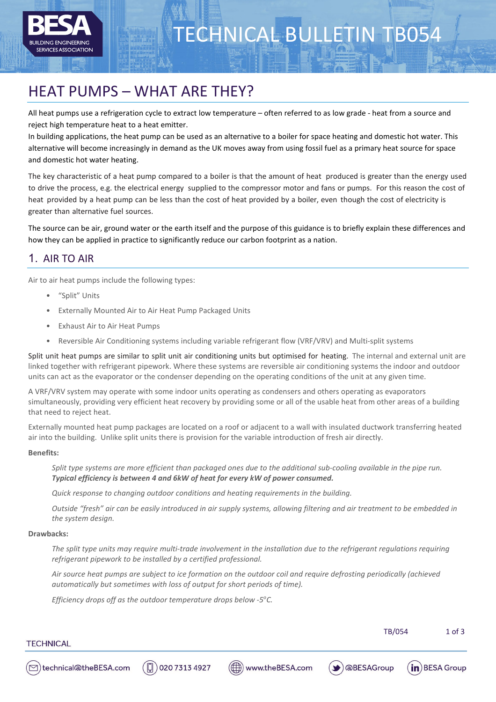

# TECHNICAL BULLETIN TB054

# HEAT PUMPS – WHAT ARE THEY?

All heat pumps use a refrigeration cycle to extract low temperature – often referred to as low grade - heat from a source and reject high temperature heat to a heat emitter.

In building applications, the heat pump can be used as an alternative to a boiler for space heating and domestic hot water. This alternative will become increasingly in demand as the UK moves away from using fossil fuel as a primary heat source for space and domestic hot water heating.

The key characteristic of a heat pump compared to a boiler is that the amount of heat produced is greater than the energy used to drive the process, e.g. the electrical energy supplied to the compressor motor and fans or pumps. For this reason the cost of heat provided by a heat pump can be less than the cost of heat provided by a boiler, even though the cost of electricity is greater than alternative fuel sources.

The source can be air, ground water or the earth itself and the purpose of this guidance is to briefly explain these differences and how they can be applied in practice to significantly reduce our carbon footprint as a nation.

# 1. AIR TO AIR

Air to air heat pumps include the following types:

- "Split" Units
- Externally Mounted Air to Air Heat Pump Packaged Units
- Exhaust Air to Air Heat Pumps
- Reversible Air Conditioning systems including variable refrigerant flow (VRF/VRV) and Multi-split systems

Split unit heat pumps are similar to split unit air conditioning units but optimised for heating. The internal and external unit are linked together with refrigerant pipework. Where these systems are reversible air conditioning systems the indoor and outdoor units can act as the evaporator or the condenser depending on the operating conditions of the unit at any given time.

A VRF/VRV system may operate with some indoor units operating as condensers and others operating as evaporators simultaneously, providing very efficient heat recovery by providing some or all of the usable heat from other areas of a building that need to reject heat.

Externally mounted heat pump packages are located on a roof or adjacent to a wall with insulated ductwork transferring heated air into the building. Unlike split units there is provision for the variable introduction of fresh air directly.

#### **Benefits:**

*Split type systems are more efficient than packaged ones due to the additional sub-cooling available in the pipe run. Typical efficiency is between 4 and 6kW of heat for every kW of power consumed.*

*Quick response to changing outdoor conditions and heating requirements in the building.*

*Outside "fresh" air can be easily introduced in air supply systems, allowing filtering and air treatment to be embedded in the system design.*

#### **Drawbacks:**

*The split type units may require multi-trade involvement in the installation due to the refrigerant regulations requiring refrigerant pipework to be installed by a certified professional.*

*Air source heat pumps are subject to ice formation on the outdoor coil and require defrosting periodically (achieved automatically but sometimes with loss of output for short periods of time).*

*Efficiency drops off as the outdoor temperature drops below -5°C.* 

TB/054 1 of 3

### **TECHNICAL**







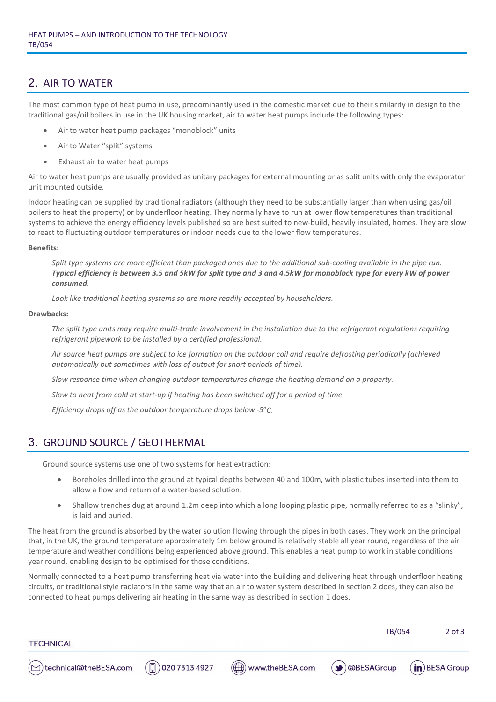# 2. AIR TO WATER

The most common type of heat pump in use, predominantly used in the domestic market due to their similarity in design to the traditional gas/oil boilers in use in the UK housing market, air to water heat pumps include the following types:

- Air to water heat pump packages "monoblock" units
- Air to Water "split" systems
- Exhaust air to water heat pumps

Air to water heat pumps are usually provided as unitary packages for external mounting or as split units with only the evaporator unit mounted outside.

Indoor heating can be supplied by traditional radiators (although they need to be substantially larger than when using gas/oil boilers to heat the property) or by underfloor heating. They normally have to run at lower flow temperatures than traditional systems to achieve the energy efficiency levels published so are best suited to new-build, heavily insulated, homes. They are slow to react to fluctuating outdoor temperatures or indoor needs due to the lower flow temperatures.

#### **Benefits:**

*Split type systems are more efficient than packaged ones due to the additional sub-cooling available in the pipe run. Typical efficiency is between 3.5 and 5kW for split type and 3 and 4.5kW for monoblock type for every kW of power consumed.*

*Look like traditional heating systems so are more readily accepted by householders.*

#### **Drawbacks:**

*The split type units may require multi-trade involvement in the installation due to the refrigerant regulations requiring refrigerant pipework to be installed by a certified professional.*

*Air source heat pumps are subject to ice formation on the outdoor coil and require defrosting periodically (achieved automatically but sometimes with loss of output for short periods of time).*

*Slow response time when changing outdoor temperatures change the heating demand on a property.*

*Slow to heat from cold at start-up if heating has been switched off for a period of time.*

*Efficiency drops off as the outdoor temperature drops below -5°C.* 

# 3. GROUND SOURCE / GEOTHERMAL

Ground source systems use one of two systems for heat extraction:

- Boreholes drilled into the ground at typical depths between 40 and 100m, with plastic tubes inserted into them to allow a flow and return of a water-based solution.
- Shallow trenches dug at around 1.2m deep into which a long looping plastic pipe, normally referred to as a "slinky", is laid and buried.

The heat from the ground is absorbed by the water solution flowing through the pipes in both cases. They work on the principal that, in the UK, the ground temperature approximately 1m below ground is relatively stable all year round, regardless of the air temperature and weather conditions being experienced above ground. This enables a heat pump to work in stable conditions year round, enabling design to be optimised for those conditions.

Normally connected to a heat pump transferring heat via water into the building and delivering heat through underfloor heating circuits, or traditional style radiators in the same way that an air to water system described in section 2 does, they can also be connected to heat pumps delivering air heating in the same way as described in section 1 does.

TB/054 2 of 3

`M

**TECHNICAL**